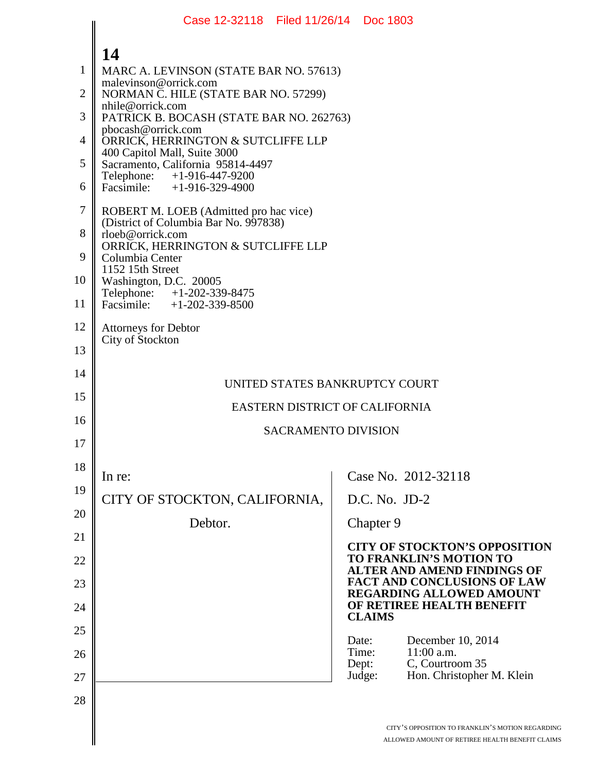|                | Case 12-32118 Filed 11/26/14 Doc 1803                             |                                                                                                     |
|----------------|-------------------------------------------------------------------|-----------------------------------------------------------------------------------------------------|
|                | 14                                                                |                                                                                                     |
| $\mathbf{1}$   | MARC A. LEVINSON (STATE BAR NO. 57613)                            |                                                                                                     |
| $\overline{2}$ | malevinson@orrick.com<br>NORMAN C. HILE (STATE BAR NO. 57299)     |                                                                                                     |
| 3              | nhile@orrick.com<br>PATRICK B. BOCASH (STATE BAR NO. 262763)      |                                                                                                     |
| $\overline{4}$ | pbocash@orrick.com<br>ORRICK, HERRINGTON & SUTCLIFFE LLP          |                                                                                                     |
| 5              | 400 Capitol Mall, Suite 3000<br>Sacramento, California 95814-4497 |                                                                                                     |
| 6              | Telephone: +1-916-447-9200<br>Facsimile: +1-916-329-4900          |                                                                                                     |
| $\tau$         | ROBERT M. LOEB (Admitted pro hac vice)                            |                                                                                                     |
| 8              | (District of Columbia Bar No. 997838)<br>rloeb@orrick.com         |                                                                                                     |
| 9              | ORRICK, HERRINGTON & SUTCLIFFE LLP<br>Columbia Center             |                                                                                                     |
| 10             | 1152 15th Street<br>Washington, D.C. 20005                        |                                                                                                     |
| 11             | Telephone: +1-202-339-8475<br>Facsimile: +1-202-339-8500          |                                                                                                     |
| 12             | <b>Attorneys for Debtor</b><br>City of Stockton                   |                                                                                                     |
| 13             |                                                                   |                                                                                                     |
| 14             | UNITED STATES BANKRUPTCY COURT                                    |                                                                                                     |
| 15             | EASTERN DISTRICT OF CALIFORNIA                                    |                                                                                                     |
| 16             | <b>SACRAMENTO DIVISION</b>                                        |                                                                                                     |
| 17             |                                                                   |                                                                                                     |
| 18             | In re:                                                            | Case No. 2012-32118                                                                                 |
| 19             | CITY OF STOCKTON, CALIFORNIA,                                     | $D.C. No. JD-2$                                                                                     |
| 20             | Debtor.                                                           | Chapter 9                                                                                           |
| 21             |                                                                   | <b>CITY OF STOCKTON'S OPPOSITION</b>                                                                |
| 22             |                                                                   | <b>TO FRANKLIN'S MOTION TO</b><br><b>ALTER AND AMEND FINDINGS OF</b>                                |
| 23             |                                                                   | <b>FACT AND CONCLUSIONS OF LAW</b><br><b>REGARDING ALLOWED AMOUNT</b>                               |
| 24             |                                                                   | OF RETIREE HEALTH BENEFIT<br><b>CLAIMS</b>                                                          |
| 25             |                                                                   | December 10, 2014<br>Date:                                                                          |
| 26             |                                                                   | Time:<br>11:00 a.m.<br>C, Courtroom 35<br>Dept:                                                     |
| 27             |                                                                   | Hon. Christopher M. Klein<br>Judge:                                                                 |
| 28             |                                                                   |                                                                                                     |
|                |                                                                   | CITY'S OPPOSITION TO FRANKLIN'S MOTION REGARDING<br>ALLOWED AMOUNT OF RETIREE HEALTH BENEFIT CLAIM: |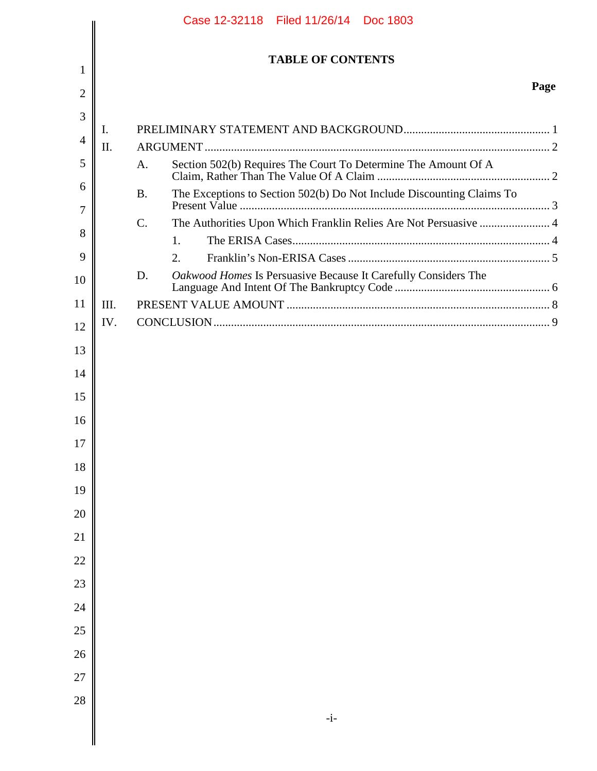|        | Case 12-32118 Filed 11/26/14 Doc 1803 |                                                                                    |      |  |
|--------|---------------------------------------|------------------------------------------------------------------------------------|------|--|
|        |                                       | <b>TABLE OF CONTENTS</b>                                                           |      |  |
| 1<br>2 |                                       |                                                                                    | Page |  |
| 3      |                                       |                                                                                    |      |  |
| 4      | I.                                    |                                                                                    |      |  |
|        | Π.                                    |                                                                                    |      |  |
| 5      |                                       | Section 502(b) Requires The Court To Determine The Amount Of A<br>A.               |      |  |
| 6      |                                       | The Exceptions to Section 502(b) Do Not Include Discounting Claims To<br><b>B.</b> |      |  |
| 7      |                                       | The Authorities Upon Which Franklin Relies Are Not Persuasive  4<br>$\mathbf{C}$ . |      |  |
| 8      |                                       | 1.                                                                                 |      |  |
| 9      |                                       | 2.                                                                                 |      |  |
| 10     |                                       | D.<br>Oakwood Homes Is Persuasive Because It Carefully Considers The               |      |  |
| 11     | III.                                  |                                                                                    |      |  |
| 12     | IV.                                   |                                                                                    |      |  |
| 13     |                                       |                                                                                    |      |  |
| 14     |                                       |                                                                                    |      |  |
| 15     |                                       |                                                                                    |      |  |
| 16     |                                       |                                                                                    |      |  |
| 17     |                                       |                                                                                    |      |  |
| 18     |                                       |                                                                                    |      |  |
| 19     |                                       |                                                                                    |      |  |
| 20     |                                       |                                                                                    |      |  |
| 21     |                                       |                                                                                    |      |  |
| 22     |                                       |                                                                                    |      |  |
| $23\,$ |                                       |                                                                                    |      |  |
| 24     |                                       |                                                                                    |      |  |
| $25\,$ |                                       |                                                                                    |      |  |
| 26     |                                       |                                                                                    |      |  |
| 27     |                                       |                                                                                    |      |  |
| 28     |                                       |                                                                                    |      |  |
|        |                                       | $-i-$                                                                              |      |  |
|        |                                       |                                                                                    |      |  |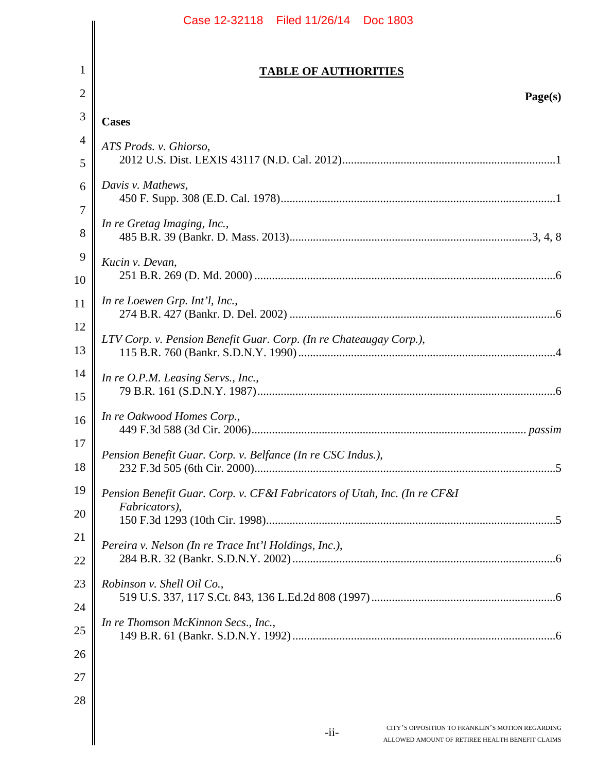|   | Case 12-32118 Filed 11/26/14 Doc 1803                                                                          |
|---|----------------------------------------------------------------------------------------------------------------|
| 1 |                                                                                                                |
| 2 | <b>TABLE OF AUTHORITIES</b>                                                                                    |
|   | Page(s)                                                                                                        |
|   | <b>Cases</b>                                                                                                   |
|   | ATS Prods. v. Ghiorso,                                                                                         |
|   | Davis v. Mathews,                                                                                              |
|   | In re Gretag Imaging, Inc.,                                                                                    |
|   | Kucin v. Devan,                                                                                                |
|   | In re Loewen Grp. Int'l, Inc.,                                                                                 |
|   | LTV Corp. v. Pension Benefit Guar. Corp. (In re Chateaugay Corp.),                                             |
|   | In re O.P.M. Leasing Servs., Inc.,                                                                             |
|   | In re Oakwood Homes Corp.,                                                                                     |
|   | Pension Benefit Guar. Corp. v. Belfance (In re CSC Indus.),                                                    |
|   | Pension Benefit Guar. Corp. v. CF&I Fabricators of Utah, Inc. (In re CF&I<br>Fabricators),                     |
|   | Pereira v. Nelson (In re Trace Int'l Holdings, Inc.),                                                          |
|   |                                                                                                                |
|   | Robinson v. Shell Oil Co.,                                                                                     |
|   | In re Thomson McKinnon Secs., Inc.,                                                                            |
|   |                                                                                                                |
|   |                                                                                                                |
|   |                                                                                                                |
|   | CITY'S OPPOSITION TO FRANKLIN'S MOTION REGARDING<br>$-i$ i-<br>ALLOWED AMOUNT OF RETIREE HEALTH BENEFIT CLAIMS |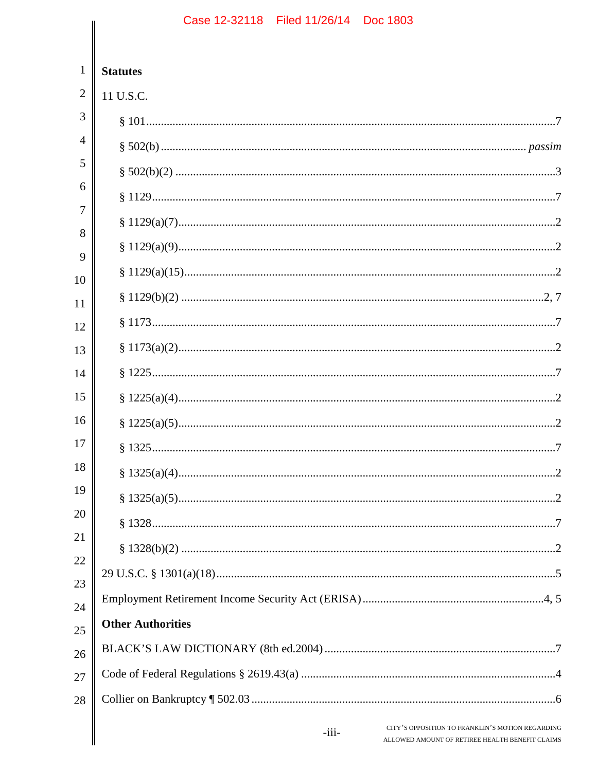|                | Case 12-32118   Filed 11/26/14   Doc 1803                                                                      |
|----------------|----------------------------------------------------------------------------------------------------------------|
| $\mathbf{1}$   | <b>Statutes</b>                                                                                                |
| $\overline{2}$ | 11 U.S.C.                                                                                                      |
| 3              |                                                                                                                |
| 4              |                                                                                                                |
| 5              |                                                                                                                |
| 6              |                                                                                                                |
| 7              |                                                                                                                |
| 8              |                                                                                                                |
| 9              |                                                                                                                |
| 10             |                                                                                                                |
| 11             |                                                                                                                |
| 12             |                                                                                                                |
| 13             |                                                                                                                |
| 14             |                                                                                                                |
| 15             |                                                                                                                |
| 16             |                                                                                                                |
| 17             |                                                                                                                |
| 18             |                                                                                                                |
| 19             |                                                                                                                |
| 20             |                                                                                                                |
| 21             |                                                                                                                |
| 22             |                                                                                                                |
| 23             |                                                                                                                |
| 24             | <b>Other Authorities</b>                                                                                       |
| 25             |                                                                                                                |
| 26             |                                                                                                                |
| 27             |                                                                                                                |
| 28             |                                                                                                                |
|                | CITY'S OPPOSITION TO FRANKLIN'S MOTION REGARDING<br>$-iii-$<br>ALLOWED AMOUNT OF RETIREE HEALTH BENEFIT CLAIMS |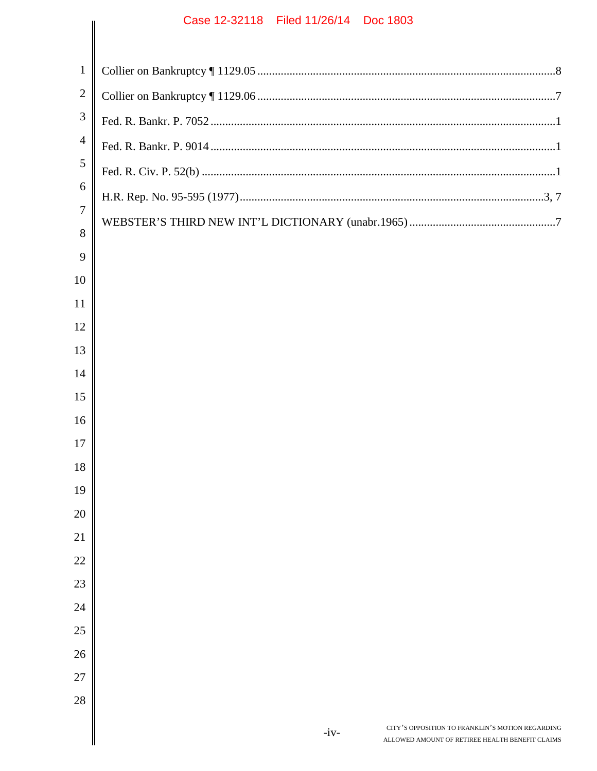|                | Case IZ-32110 Filed 11/20/14 DOC 1003                                                                         |
|----------------|---------------------------------------------------------------------------------------------------------------|
| $\mathbf{1}$   |                                                                                                               |
| $\overline{2}$ |                                                                                                               |
| 3              |                                                                                                               |
| $\overline{4}$ |                                                                                                               |
| 5              |                                                                                                               |
| 6              |                                                                                                               |
| $\overline{7}$ |                                                                                                               |
| 8              |                                                                                                               |
| 9              |                                                                                                               |
| 10             |                                                                                                               |
| 11             |                                                                                                               |
| 12             |                                                                                                               |
| 13             |                                                                                                               |
| 14             |                                                                                                               |
| 15<br>16       |                                                                                                               |
| 17             |                                                                                                               |
| 18             |                                                                                                               |
| 19             |                                                                                                               |
| 20             |                                                                                                               |
| 21             |                                                                                                               |
| 22             |                                                                                                               |
| 23             |                                                                                                               |
| 24             |                                                                                                               |
| 25             |                                                                                                               |
| 26             |                                                                                                               |
| 27             |                                                                                                               |
| 28             |                                                                                                               |
|                | CITY'S OPPOSITION TO FRANKLIN'S MOTION REGARDING<br>$-iv-$<br>ALLOWED AMOUNT OF RETIREE HEALTH BENEFIT CLAIMS |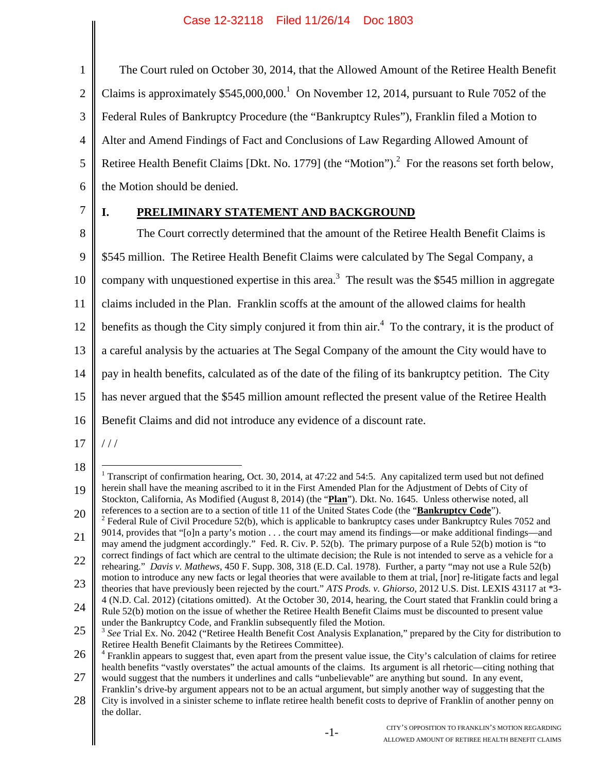2 3 4 5 6 The Court ruled on October 30, 2014, that the Allowed Amount of the Retiree Health Benefit Claims is approximately  $$545,000,000$ <sup>1</sup> On November 12, 2014, pursuant to Rule 7052 of the Federal Rules of Bankruptcy Procedure (the "Bankruptcy Rules"), Franklin filed a Motion to Alter and Amend Findings of Fact and Conclusions of Law Regarding Allowed Amount of Retiree Health Benefit Claims [Dkt. No. 1779] (the "Motion").<sup>2</sup> For the reasons set forth below, the Motion should be denied.

7

1

# **I. PRELIMINARY STATEMENT AND BACKGROUND**

8 9 10 11 12 13 14 15 16 The Court correctly determined that the amount of the Retiree Health Benefit Claims is \$545 million. The Retiree Health Benefit Claims were calculated by The Segal Company, a company with unquestioned expertise in this area.<sup>3</sup> The result was the \$545 million in aggregate claims included in the Plan. Franklin scoffs at the amount of the allowed claims for health benefits as though the City simply conjured it from thin air.<sup>4</sup> To the contrary, it is the product of a careful analysis by the actuaries at The Segal Company of the amount the City would have to pay in health benefits, calculated as of the date of the filing of its bankruptcy petition. The City has never argued that the \$545 million amount reflected the present value of the Retiree Health Benefit Claims and did not introduce any evidence of a discount rate.

17 / / /

<sup>18</sup> 19 20 <sup>1</sup> Transcript of confirmation hearing, Oct. 30, 2014, at 47:22 and 54:5. Any capitalized term used but not defined herein shall have the meaning ascribed to it in the First Amended Plan for the Adjustment of Debts of City of Stockton, California, As Modified (August 8, 2014) (the "**Plan**"). Dkt. No. 1645. Unless otherwise noted, all references to a section are to a section of title 11 of the United States Code (the "**Bankruptcy Code**"). <sup>2</sup> Federal Rule of Civil Procedure 52(b), which is applicable to bankruptcy cases under Bankruptcy Rules 7052 and

<sup>21</sup> 9014, provides that "[o]n a party's motion . . . the court may amend its findings—or make additional findings—and may amend the judgment accordingly." Fed. R. Civ. P. 52(b). The primary purpose of a Rule 52(b) motion is "to

<sup>22</sup> correct findings of fact which are central to the ultimate decision; the Rule is not intended to serve as a vehicle for a rehearing." *Davis v. Mathews*, 450 F. Supp. 308, 318 (E.D. Cal. 1978). Further, a party "may not use a Rule 52(b)

<sup>23</sup> motion to introduce any new facts or legal theories that were available to them at trial, [nor] re-litigate facts and legal theories that have previously been rejected by the court." *ATS Prods. v. Ghiorso*, 2012 U.S. Dist. LEXIS 43117 at \*3-

<sup>24</sup> 4 (N.D. Cal. 2012) (citations omitted). At the October 30, 2014, hearing, the Court stated that Franklin could bring a Rule 52(b) motion on the issue of whether the Retiree Health Benefit Claims must be discounted to present value under the Bankruptcy Code, and Franklin subsequently filed the Motion.

<sup>25</sup> <sup>3</sup> See Trial Ex. No. 2042 ("Retiree Health Benefit Cost Analysis Explanation," prepared by the City for distribution to Retiree Health Benefit Claimants by the Retirees Committee).

<sup>26</sup> 27 <sup>4</sup> Franklin appears to suggest that, even apart from the present value issue, the City's calculation of claims for retiree health benefits "vastly overstates" the actual amounts of the claims. Its argument is all rhetoric—citing nothing that would suggest that the numbers it underlines and calls "unbelievable" are anything but sound. In any event,

<sup>28</sup> Franklin's drive-by argument appears not to be an actual argument, but simply another way of suggesting that the City is involved in a sinister scheme to inflate retiree health benefit costs to deprive of Franklin of another penny on

the dollar.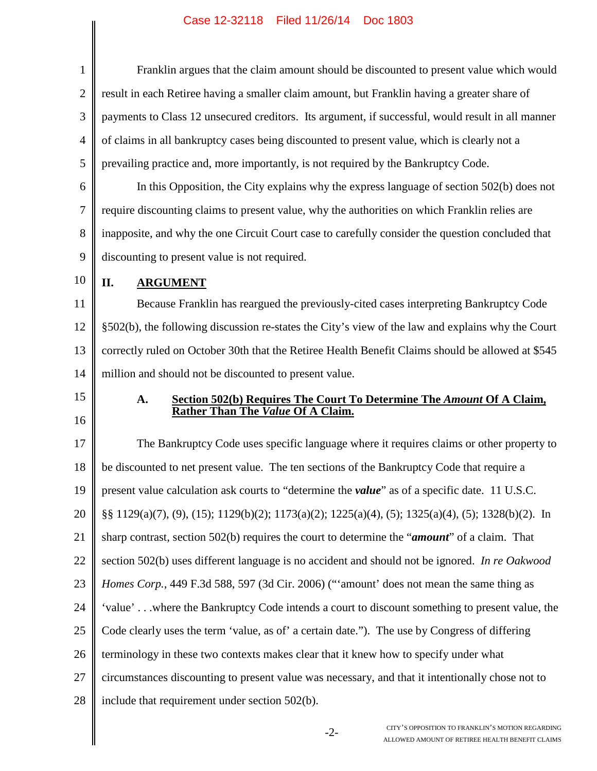| $\mathbf{1}$   | Franklin argues that the claim amount should be discounted to present value which would                      |  |  |
|----------------|--------------------------------------------------------------------------------------------------------------|--|--|
| $\overline{2}$ | result in each Retiree having a smaller claim amount, but Franklin having a greater share of                 |  |  |
| 3              | payments to Class 12 unsecured creditors. Its argument, if successful, would result in all manner            |  |  |
| $\overline{4}$ | of claims in all bankruptcy cases being discounted to present value, which is clearly not a                  |  |  |
| 5              | prevailing practice and, more importantly, is not required by the Bankruptcy Code.                           |  |  |
| 6              | In this Opposition, the City explains why the express language of section 502(b) does not                    |  |  |
| $\tau$         | require discounting claims to present value, why the authorities on which Franklin relies are                |  |  |
| 8              | inapposite, and why the one Circuit Court case to carefully consider the question concluded that             |  |  |
| 9              | discounting to present value is not required.                                                                |  |  |
| 10             | II.<br><b>ARGUMENT</b>                                                                                       |  |  |
| 11             | Because Franklin has reargued the previously-cited cases interpreting Bankruptcy Code                        |  |  |
| 12             | §502(b), the following discussion re-states the City's view of the law and explains why the Court            |  |  |
| 13             | correctly ruled on October 30th that the Retiree Health Benefit Claims should be allowed at \$545            |  |  |
| 14             | million and should not be discounted to present value.                                                       |  |  |
| 15             | Section 502(b) Requires The Court To Determine The Amount Of A Claim,<br>A.                                  |  |  |
| 16             | Rather Than The Value Of A Claim.                                                                            |  |  |
| 17             | The Bankruptcy Code uses specific language where it requires claims or other property to                     |  |  |
| 18             | be discounted to net present value. The ten sections of the Bankruptcy Code that require a                   |  |  |
| 19             | present value calculation ask courts to "determine the <i>value</i> " as of a specific date. 11 U.S.C.       |  |  |
| 20             | §§ 1129(a)(7), (9), (15); 1129(b)(2); 1173(a)(2); 1225(a)(4), (5); 1325(a)(4), (5); 1328(b)(2). In           |  |  |
| 21             | sharp contrast, section 502(b) requires the court to determine the " <i>amount</i> " of a claim. That        |  |  |
| 22             | section 502(b) uses different language is no accident and should not be ignored. In re Oakwood               |  |  |
| 23             | Homes Corp., 449 F.3d 588, 597 (3d Cir. 2006) ("'amount' does not mean the same thing as                     |  |  |
| 24             | 'value'where the Bankruptcy Code intends a court to discount something to present value, the                 |  |  |
| 25             | Code clearly uses the term 'value, as of' a certain date."). The use by Congress of differing                |  |  |
| 26             | terminology in these two contexts makes clear that it knew how to specify under what                         |  |  |
| 27             | circumstances discounting to present value was necessary, and that it intentionally chose not to             |  |  |
| 28             | include that requirement under section 502(b).                                                               |  |  |
|                | CITY'S OPPOSITION TO FRANKLIN'S MOTION REGARDING<br>$-2-$<br>ALLOWED AMOUNT OF RETIREE HEALTH BENEFIT CLAIMS |  |  |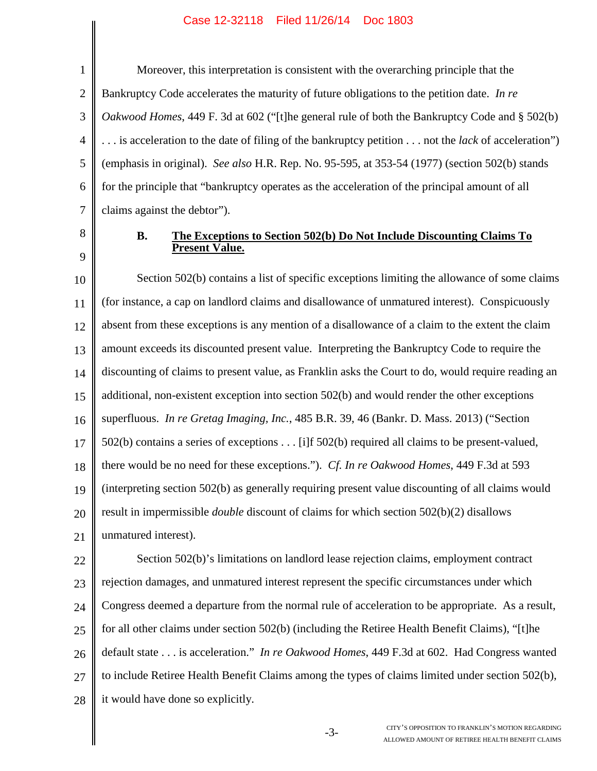1 2 3 4 5 6 7 Moreover, this interpretation is consistent with the overarching principle that the Bankruptcy Code accelerates the maturity of future obligations to the petition date. *In re Oakwood Homes*, 449 F. 3d at 602 ("[t]he general rule of both the Bankruptcy Code and § 502(b) . . . is acceleration to the date of filing of the bankruptcy petition . . . not the *lack* of acceleration") (emphasis in original). *See also* H.R. Rep. No. 95-595, at 353-54 (1977) (section 502(b) stands for the principle that "bankruptcy operates as the acceleration of the principal amount of all claims against the debtor").

8 9

### **B. The Exceptions to Section 502(b) Do Not Include Discounting Claims To Present Value.**

10 11 12 13 14 15 16 17 18 19 20 21 Section 502(b) contains a list of specific exceptions limiting the allowance of some claims (for instance, a cap on landlord claims and disallowance of unmatured interest). Conspicuously absent from these exceptions is any mention of a disallowance of a claim to the extent the claim amount exceeds its discounted present value. Interpreting the Bankruptcy Code to require the discounting of claims to present value, as Franklin asks the Court to do, would require reading an additional, non-existent exception into section 502(b) and would render the other exceptions superfluous. *In re Gretag Imaging, Inc.*, 485 B.R. 39, 46 (Bankr. D. Mass. 2013) ("Section 502(b) contains a series of exceptions . . . [i]f 502(b) required all claims to be present-valued, there would be no need for these exceptions."). *Cf. In re Oakwood Homes*, 449 F.3d at 593 (interpreting section 502(b) as generally requiring present value discounting of all claims would result in impermissible *double* discount of claims for which section 502(b)(2) disallows unmatured interest).

22 23 24 25 26 27 28 Section 502(b)'s limitations on landlord lease rejection claims, employment contract rejection damages, and unmatured interest represent the specific circumstances under which Congress deemed a departure from the normal rule of acceleration to be appropriate. As a result, for all other claims under section 502(b) (including the Retiree Health Benefit Claims), "[t]he default state . . . is acceleration." *In re Oakwood Homes*, 449 F.3d at 602. Had Congress wanted to include Retiree Health Benefit Claims among the types of claims limited under section 502(b), it would have done so explicitly.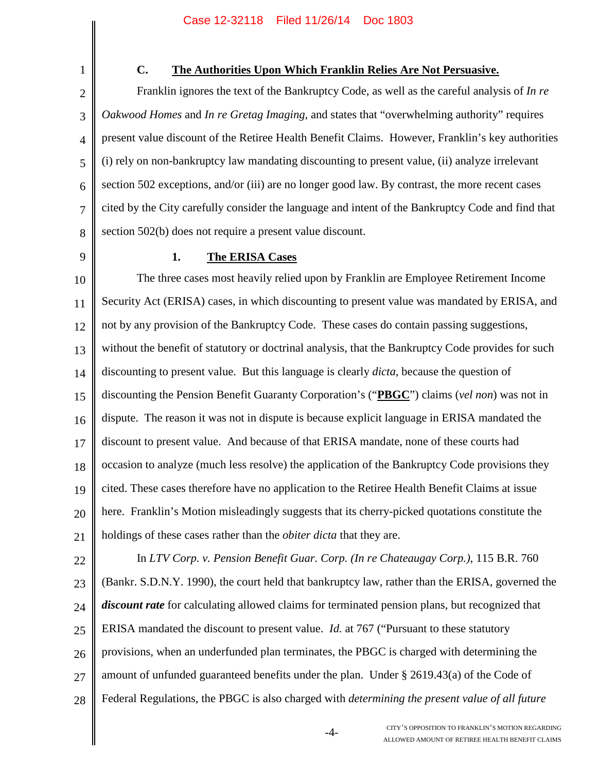1

## **C. The Authorities Upon Which Franklin Relies Are Not Persuasive.**

2 3 4 5 6 7 8 Franklin ignores the text of the Bankruptcy Code, as well as the careful analysis of *In re Oakwood Homes* and *In re Gretag Imaging*, and states that "overwhelming authority" requires present value discount of the Retiree Health Benefit Claims. However, Franklin's key authorities (i) rely on non-bankruptcy law mandating discounting to present value, (ii) analyze irrelevant section 502 exceptions, and/or (iii) are no longer good law. By contrast, the more recent cases cited by the City carefully consider the language and intent of the Bankruptcy Code and find that section 502(b) does not require a present value discount.

9

### **1. The ERISA Cases**

10 11 12 13 14 15 16 17 18 19 20 21 The three cases most heavily relied upon by Franklin are Employee Retirement Income Security Act (ERISA) cases, in which discounting to present value was mandated by ERISA, and not by any provision of the Bankruptcy Code. These cases do contain passing suggestions, without the benefit of statutory or doctrinal analysis, that the Bankruptcy Code provides for such discounting to present value. But this language is clearly *dicta*, because the question of discounting the Pension Benefit Guaranty Corporation's ("**PBGC**") claims (*vel non*) was not in dispute. The reason it was not in dispute is because explicit language in ERISA mandated the discount to present value. And because of that ERISA mandate, none of these courts had occasion to analyze (much less resolve) the application of the Bankruptcy Code provisions they cited. These cases therefore have no application to the Retiree Health Benefit Claims at issue here. Franklin's Motion misleadingly suggests that its cherry-picked quotations constitute the holdings of these cases rather than the *obiter dicta* that they are.

22 23 24 25 26 27 28 In *LTV Corp. v. Pension Benefit Guar. Corp. (In re Chateaugay Corp.)*, 115 B.R. 760 (Bankr. S.D.N.Y. 1990), the court held that bankruptcy law, rather than the ERISA, governed the *discount rate* for calculating allowed claims for terminated pension plans, but recognized that ERISA mandated the discount to present value. *Id.* at 767 ("Pursuant to these statutory provisions, when an underfunded plan terminates, the PBGC is charged with determining the amount of unfunded guaranteed benefits under the plan. Under § 2619.43(a) of the Code of Federal Regulations, the PBGC is also charged with *determining the present value of all future*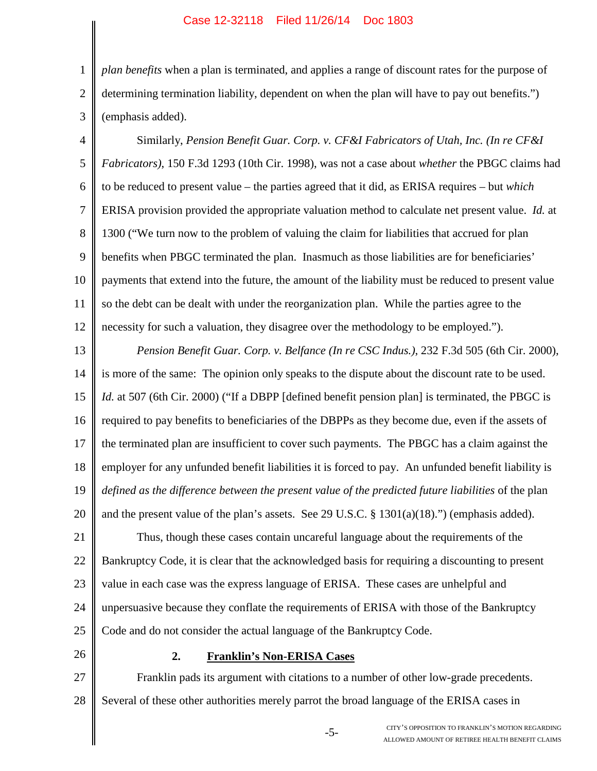2 3 *plan benefits* when a plan is terminated, and applies a range of discount rates for the purpose of determining termination liability, dependent on when the plan will have to pay out benefits.") (emphasis added).

4 5 6 7 8 9 10 11 12 Similarly, *Pension Benefit Guar. Corp. v. CF&I Fabricators of Utah, Inc. (In re CF&I Fabricators)*, 150 F.3d 1293 (10th Cir. 1998), was not a case about *whether* the PBGC claims had to be reduced to present value – the parties agreed that it did, as ERISA requires – but *which* ERISA provision provided the appropriate valuation method to calculate net present value. *Id.* at 1300 ("We turn now to the problem of valuing the claim for liabilities that accrued for plan benefits when PBGC terminated the plan. Inasmuch as those liabilities are for beneficiaries' payments that extend into the future, the amount of the liability must be reduced to present value so the debt can be dealt with under the reorganization plan. While the parties agree to the necessity for such a valuation, they disagree over the methodology to be employed.").

13 14 15 16 17 18 19 20 *Pension Benefit Guar. Corp. v. Belfance (In re CSC Indus.)*, 232 F.3d 505 (6th Cir. 2000), is more of the same: The opinion only speaks to the dispute about the discount rate to be used. *Id.* at 507 (6th Cir. 2000) ("If a DBPP [defined benefit pension plan] is terminated, the PBGC is required to pay benefits to beneficiaries of the DBPPs as they become due, even if the assets of the terminated plan are insufficient to cover such payments. The PBGC has a claim against the employer for any unfunded benefit liabilities it is forced to pay. An unfunded benefit liability is *defined as the difference between the present value of the predicted future liabilities* of the plan and the present value of the plan's assets. See 29 U.S.C. § 1301(a)(18).") (emphasis added).

21 22 23 24 25 Thus, though these cases contain uncareful language about the requirements of the Bankruptcy Code, it is clear that the acknowledged basis for requiring a discounting to present value in each case was the express language of ERISA. These cases are unhelpful and unpersuasive because they conflate the requirements of ERISA with those of the Bankruptcy Code and do not consider the actual language of the Bankruptcy Code.

26

1

#### **2. Franklin's Non-ERISA Cases**

27 28 Franklin pads its argument with citations to a number of other low-grade precedents. Several of these other authorities merely parrot the broad language of the ERISA cases in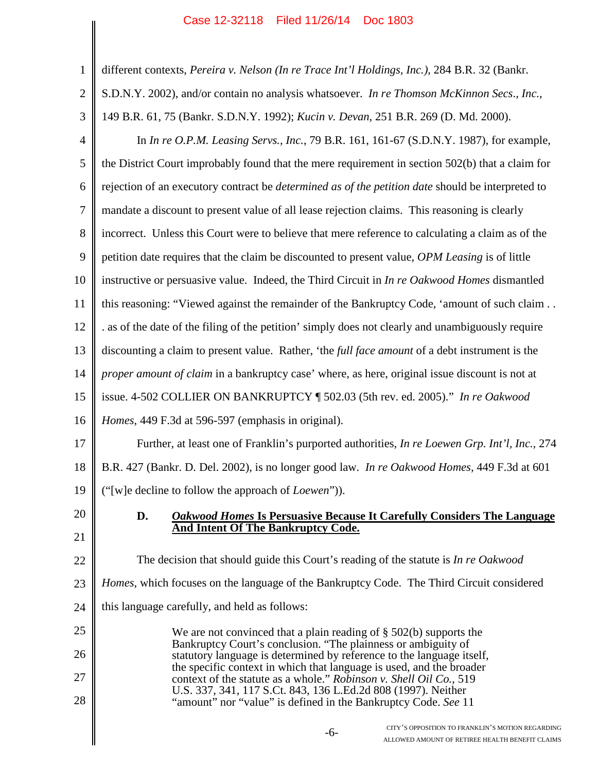| $\mathbf{1}$   | different contexts, Pereira v. Nelson (In re Trace Int'l Holdings, Inc.), 284 B.R. 32 (Bankr.                                                                                                                                                                                        |  |  |  |
|----------------|--------------------------------------------------------------------------------------------------------------------------------------------------------------------------------------------------------------------------------------------------------------------------------------|--|--|--|
| $\overline{2}$ | S.D.N.Y. 2002), and/or contain no analysis whatsoever. In re Thomson McKinnon Secs., Inc.,                                                                                                                                                                                           |  |  |  |
| 3              | 149 B.R. 61, 75 (Bankr. S.D.N.Y. 1992); Kucin v. Devan, 251 B.R. 269 (D. Md. 2000).                                                                                                                                                                                                  |  |  |  |
| $\overline{4}$ | In In re O.P.M. Leasing Servs., Inc., 79 B.R. 161, 161-67 (S.D.N.Y. 1987), for example,                                                                                                                                                                                              |  |  |  |
| 5              | the District Court improbably found that the mere requirement in section 502(b) that a claim for                                                                                                                                                                                     |  |  |  |
| 6              | rejection of an executory contract be <i>determined as of the petition date</i> should be interpreted to                                                                                                                                                                             |  |  |  |
| 7              | mandate a discount to present value of all lease rejection claims. This reasoning is clearly                                                                                                                                                                                         |  |  |  |
| 8              | incorrect. Unless this Court were to believe that mere reference to calculating a claim as of the                                                                                                                                                                                    |  |  |  |
| 9              | petition date requires that the claim be discounted to present value, OPM Leasing is of little                                                                                                                                                                                       |  |  |  |
| 10             | instructive or persuasive value. Indeed, the Third Circuit in In re Oakwood Homes dismantled                                                                                                                                                                                         |  |  |  |
| 11             | this reasoning: "Viewed against the remainder of the Bankruptcy Code, 'amount of such claim                                                                                                                                                                                          |  |  |  |
| 12             | . as of the date of the filing of the petition' simply does not clearly and unambiguously require                                                                                                                                                                                    |  |  |  |
| 13             | discounting a claim to present value. Rather, 'the full face amount of a debt instrument is the                                                                                                                                                                                      |  |  |  |
| 14             | proper amount of claim in a bankruptcy case' where, as here, original issue discount is not at                                                                                                                                                                                       |  |  |  |
| 15             | issue. 4-502 COLLIER ON BANKRUPTCY ¶ 502.03 (5th rev. ed. 2005)." In re Oakwood                                                                                                                                                                                                      |  |  |  |
| 16             | Homes, 449 F.3d at 596-597 (emphasis in original).                                                                                                                                                                                                                                   |  |  |  |
| 17             | Further, at least one of Franklin's purported authorities, In re Loewen Grp. Int'l, Inc., 274                                                                                                                                                                                        |  |  |  |
| 18             | B.R. 427 (Bankr. D. Del. 2002), is no longer good law. In re Oakwood Homes, 449 F.3d at 601                                                                                                                                                                                          |  |  |  |
| 19             | ("[w]e decline to follow the approach of Loewen")).                                                                                                                                                                                                                                  |  |  |  |
| 20             | D.<br><b>Oakwood Homes Is Persuasive Because It Carefully Considers The Language</b>                                                                                                                                                                                                 |  |  |  |
| 21             | <b>And Intent Of The Bankruptcy Code.</b>                                                                                                                                                                                                                                            |  |  |  |
| 22             | The decision that should guide this Court's reading of the statute is In re Oakwood                                                                                                                                                                                                  |  |  |  |
| 23             | <i>Homes</i> , which focuses on the language of the Bankruptcy Code. The Third Circuit considered                                                                                                                                                                                    |  |  |  |
| 24             | this language carefully, and held as follows:                                                                                                                                                                                                                                        |  |  |  |
| 25             | We are not convinced that a plain reading of $\S$ 502(b) supports the                                                                                                                                                                                                                |  |  |  |
| 26             | Bankruptcy Court's conclusion. "The plainness or ambiguity of<br>statutory language is determined by reference to the language itself,<br>the specific context in which that language is used, and the broader<br>context of the statute as a whole." Robinson v. Shell Oil Co., 519 |  |  |  |
| 27             |                                                                                                                                                                                                                                                                                      |  |  |  |
| 28             | U.S. 337, 341, 117 S.Ct. 843, 136 L.Ed.2d 808 (1997). Neither<br>"amount" nor "value" is defined in the Bankruptcy Code. See 11                                                                                                                                                      |  |  |  |
|                | CITY'S OPPOSITION TO FRANKLIN'S MOTION REGARDING<br>$-6-$<br>ALLOWED AMOUNT OF RETIREE HEALTH BENEFIT CLAIMS                                                                                                                                                                         |  |  |  |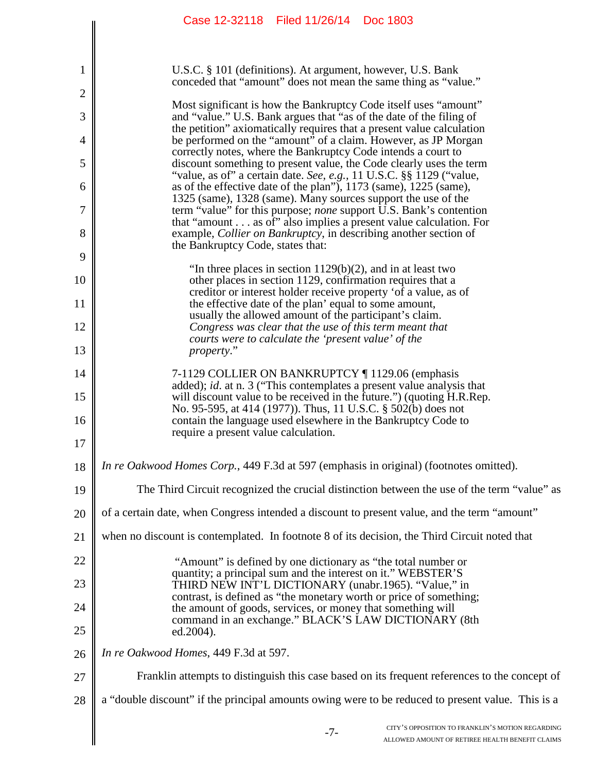|                | Case 12-32118 Filed 11/26/14 Doc 1803                                                                                                          |  |  |  |
|----------------|------------------------------------------------------------------------------------------------------------------------------------------------|--|--|--|
|                |                                                                                                                                                |  |  |  |
| 1              | U.S.C. § 101 (definitions). At argument, however, U.S. Bank<br>conceded that "amount" does not mean the same thing as "value."                 |  |  |  |
| $\overline{c}$ | Most significant is how the Bankruptcy Code itself uses "amount"                                                                               |  |  |  |
| 3              | and "value." U.S. Bank argues that "as of the date of the filing of<br>the petition" axiomatically requires that a present value calculation   |  |  |  |
| 4              | be performed on the "amount" of a claim. However, as JP Morgan<br>correctly notes, where the Bankruptcy Code intends a court to                |  |  |  |
| 5              | discount something to present value, the Code clearly uses the term<br>"value, as of" a certain date. See, e.g., 11 U.S.C. §§ 1129 ("value,    |  |  |  |
| 6              | as of the effective date of the plan"), 1173 (same), 1225 (same),<br>1325 (same), 1328 (same). Many sources support the use of the             |  |  |  |
| 7              | term "value" for this purpose; <i>none</i> support U.S. Bank's contention<br>that "amount as of" also implies a present value calculation. For |  |  |  |
| 8              | example, <i>Collier on Bankruptcy</i> , in describing another section of<br>the Bankruptcy Code, states that:                                  |  |  |  |
| 9              | "In three places in section $1129(b)(2)$ , and in at least two                                                                                 |  |  |  |
| 10             | other places in section 1129, confirmation requires that a<br>creditor or interest holder receive property 'of a value, as of                  |  |  |  |
| 11             | the effective date of the plan' equal to some amount,                                                                                          |  |  |  |
| 12             | usually the allowed amount of the participant's claim.<br>Congress was clear that the use of this term meant that                              |  |  |  |
| 13             | courts were to calculate the 'present value' of the<br>property."                                                                              |  |  |  |
| 14             | 7-1129 COLLIER ON BANKRUPTCY ¶ 1129.06 (emphasis                                                                                               |  |  |  |
| 15             | added); id. at n. 3 ("This contemplates a present value analysis that<br>will discount value to be received in the future.") (quoting H.R.Rep. |  |  |  |
| 16             | No. 95-595, at 414 (1977)). Thus, 11 U.S.C. § 502(b) does not<br>contain the language used elsewhere in the Bankruptcy Code to                 |  |  |  |
| 17             | require a present value calculation.                                                                                                           |  |  |  |
| 18             | <i>In re Oakwood Homes Corp.</i> , 449 F.3d at 597 (emphasis in original) (footnotes omitted).                                                 |  |  |  |
| 19             | The Third Circuit recognized the crucial distinction between the use of the term "value" as                                                    |  |  |  |
| 20             | of a certain date, when Congress intended a discount to present value, and the term "amount"                                                   |  |  |  |
| 21             | when no discount is contemplated. In footnote 8 of its decision, the Third Circuit noted that                                                  |  |  |  |
| 22             | "Amount" is defined by one dictionary as "the total number or<br>quantity; a principal sum and the interest on it." WEBSTER'S                  |  |  |  |
| 23             | THIRD NEW INT'L DICTIONARY (unabr.1965). "Value," in<br>contrast, is defined as "the monetary worth or price of something;                     |  |  |  |
| 24             | the amount of goods, services, or money that something will<br>command in an exchange." BLACK'S LAW DICTIONARY (8th                            |  |  |  |
| 25             | ed.2004).                                                                                                                                      |  |  |  |
| 26             | In re Oakwood Homes, 449 F.3d at 597.                                                                                                          |  |  |  |
| 27             | Franklin attempts to distinguish this case based on its frequent references to the concept of                                                  |  |  |  |
| 28             | a "double discount" if the principal amounts owing were to be reduced to present value. This is a                                              |  |  |  |
|                | CITY'S OPPOSITION TO FRANKLIN'S MOTION REGARDING<br>$-7-$<br>ALLOWED AMOUNT OF RETIREE HEALTH BENEFIT CLAIMS                                   |  |  |  |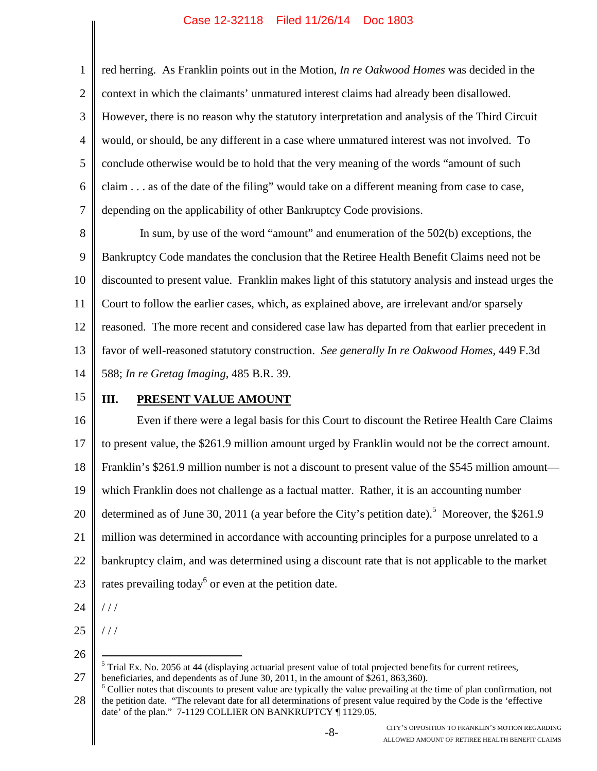1 2 3 4 5 6 7 red herring. As Franklin points out in the Motion, *In re Oakwood Homes* was decided in the context in which the claimants' unmatured interest claims had already been disallowed. However, there is no reason why the statutory interpretation and analysis of the Third Circuit would, or should, be any different in a case where unmatured interest was not involved. To conclude otherwise would be to hold that the very meaning of the words "amount of such claim . . . as of the date of the filing" would take on a different meaning from case to case, depending on the applicability of other Bankruptcy Code provisions.

8 9 10 11 12 13 14 In sum, by use of the word "amount" and enumeration of the 502(b) exceptions, the Bankruptcy Code mandates the conclusion that the Retiree Health Benefit Claims need not be discounted to present value. Franklin makes light of this statutory analysis and instead urges the Court to follow the earlier cases, which, as explained above, are irrelevant and/or sparsely reasoned. The more recent and considered case law has departed from that earlier precedent in favor of well-reasoned statutory construction. *See generally In re Oakwood Homes*, 449 F.3d 588; *In re Gretag Imaging*, 485 B.R. 39.

15

### **III. PRESENT VALUE AMOUNT**

16 17 18 19 20 21 22 23 Even if there were a legal basis for this Court to discount the Retiree Health Care Claims to present value, the \$261.9 million amount urged by Franklin would not be the correct amount. Franklin's \$261.9 million number is not a discount to present value of the \$545 million amount which Franklin does not challenge as a factual matter. Rather, it is an accounting number determined as of June 30, 2011 (a year before the City's petition date).<sup>5</sup> Moreover, the \$261.9 million was determined in accordance with accounting principles for a purpose unrelated to a bankruptcy claim, and was determined using a discount rate that is not applicable to the market rates prevailing today<sup>6</sup> or even at the petition date.

24

/ / /

/ / /

- 25
- 26

28  $6$  Collier notes that discounts to present value are typically the value prevailing at the time of plan confirmation, not the petition date. "The relevant date for all determinations of present value required by the Code is the 'effective date' of the plan." 7-1129 COLLIER ON BANKRUPTCY ¶ 1129.05.

<sup>27</sup>  $<sup>5</sup>$  Trial Ex. No. 2056 at 44 (displaying actuarial present value of total projected benefits for current retirees,</sup> beneficiaries, and dependents as of June 30, 2011, in the amount of \$261, 863,360).